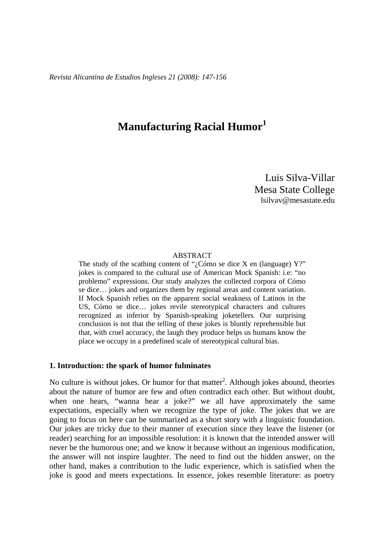# **Manufacturing Racial Humor<sup>1</sup>**

Luis Silva-Villar Mesa State College lsilvav@mesastate.edu

#### ABSTRACT

The study of the scathing content of " $\zeta$ Cómo se dice X en (language) Y?" jokes is compared to the cultural use of American Mock Spanish: i.e: "no problemo" expressions. Our study analyzes the collected corpora of Cómo se dice… jokes and organizes them by regional areas and content variation. If Mock Spanish relies on the apparent social weakness of Latinos in the US, Cómo se dice… jokes revile stereotypical characters and cultures recognized as inferior by Spanish-speaking joketellers. Our surprising conclusion is not that the telling of these jokes is bluntly reprehensible but that, with cruel accuracy, the laugh they produce helps us humans know the place we occupy in a predefined scale of stereotypical cultural bias.

# **1. Introduction: the spark of humor fulminates**

No culture is without jokes. Or humor for that matter<sup>2</sup>. Although jokes abound, theories about the nature of humor are few and often contradict each other. But without doubt, when one hears, "wanna hear a joke?" we all have approximately the same expectations, especially when we recognize the type of joke. The jokes that we are going to focus on here can be summarized as a short story with a linguistic foundation. Our jokes are tricky due to their manner of execution since they leave the listener (or reader) searching for an impossible resolution: it is known that the intended answer will never be the humorous one; and we know it because without an ingenious modification, the answer will not inspire laughter. The need to find out the hidden answer, on the other hand, makes a contribution to the ludic experience, which is satisfied when the joke is good and meets expectations. In essence, jokes resemble literature: as poetry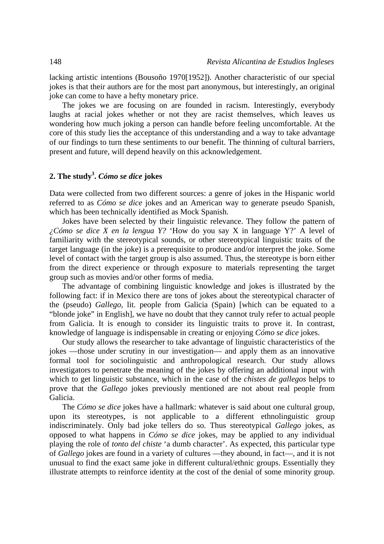lacking artistic intentions (Bousoño 1970[1952]). Another characteristic of our special jokes is that their authors are for the most part anonymous, but interestingly, an original joke can come to have a hefty monetary price.

The jokes we are focusing on are founded in racism. Interestingly, everybody laughs at racial jokes whether or not they are racist themselves, which leaves us wondering how much joking a person can handle before feeling uncomfortable. At the core of this study lies the acceptance of this understanding and a way to take advantage of our findings to turn these sentiments to our benefit. The thinning of cultural barriers, present and future, will depend heavily on this acknowledgement.

# **2. The study<sup>3</sup> .** *Cómo se dice* **jokes**

Data were collected from two different sources: a genre of jokes in the Hispanic world referred to as *Cómo se dice* jokes and an American way to generate pseudo Spanish, which has been technically identified as Mock Spanish.

Jokes have been selected by their linguistic relevance. They follow the pattern of *¿Cómo se dice X en la lengua Y?* 'How do you say X in language Y?' A level of familiarity with the stereotypical sounds, or other stereotypical linguistic traits of the target language (in the joke) is a prerequisite to produce and/or interpret the joke. Some level of contact with the target group is also assumed. Thus, the stereotype is born either from the direct experience or through exposure to materials representing the target group such as movies and/or other forms of media.

The advantage of combining linguistic knowledge and jokes is illustrated by the following fact: if in Mexico there are tons of jokes about the stereotypical character of the (pseudo) *Gallego*, lit. people from Galicia (Spain) [which can be equated to a "blonde joke" in English], we have no doubt that they cannot truly refer to actual people from Galicia. It is enough to consider its linguistic traits to prove it. In contrast, knowledge of language is indispensable in creating or enjoying *Cómo se dice* jokes.

Our study allows the researcher to take advantage of linguistic characteristics of the jokes —those under scrutiny in our investigation— and apply them as an innovative formal tool for sociolinguistic and anthropological research. Our study allows investigators to penetrate the meaning of the jokes by offering an additional input with which to get linguistic substance, which in the case of the *chistes de gallegos* helps to prove that the *Gallego* jokes previously mentioned are not about real people from Galicia.

The *Cómo se dice* jokes have a hallmark: whatever is said about one cultural group, upon its stereotypes, is not applicable to a different ethnolinguistic group indiscriminately. Only bad joke tellers do so. Thus stereotypical *Gallego* jokes, as opposed to what happens in *Cómo se dice* jokes, may be applied to any individual playing the role of *tonto del chiste* 'a dumb character'. As expected, this particular type of *Gallego* jokes are found in a variety of cultures —they abound, in fact—, and it is not unusual to find the exact same joke in different cultural/ethnic groups. Essentially they illustrate attempts to reinforce identity at the cost of the denial of some minority group.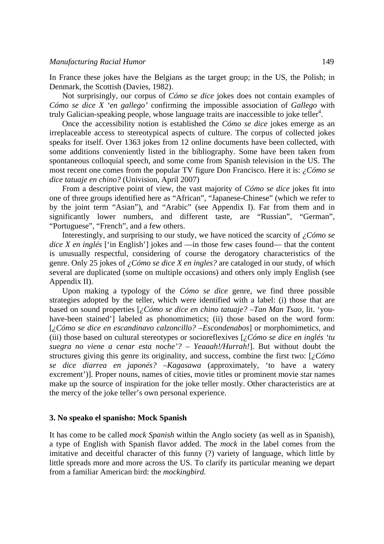In France these jokes have the Belgians as the target group; in the US, the Polish; in Denmark, the Scottish (Davies, 1982).

Not surprisingly, our corpus of *Cómo se dice* jokes does not contain examples of *Cómo se dice X 'en gallego'* confirming the impossible association of *Gallego* with truly Galician-speaking people, whose language traits are inaccessible to joke teller<sup>4</sup>.

Once the accessibility notion is established the *Cómo se dice* jokes emerge as an irreplaceable access to stereotypical aspects of culture. The corpus of collected jokes speaks for itself. Over 1363 jokes from 12 online documents have been collected, with some additions conveniently listed in the bibliography. Some have been taken from spontaneous colloquial speech, and some come from Spanish television in the US. The most recent one comes from the popular TV figure Don Francisco. Here it is: *¿Cómo se dice tatuaje en chino?* (Univision, April 2007)

From a descriptive point of view, the vast majority of *Cómo se dice* jokes fit into one of three groups identified here as "African", "Japanese-Chinese" (which we refer to by the joint term "Asian"), and "Arabic" (see Appendix I). Far from them and in significantly lower numbers, and different taste, are "Russian", "German", "Portuguese", "French", and a few others.

Interestingly, and surprising to our study, we have noticed the scarcity of *¿Cómo se dice X en inglés* ['in English'] jokes and —in those few cases found— that the content is unusually respectful, considering of course the derogatory characteristics of the genre. Only 25 jokes of *¿Cómo se dice X en ingles?* are cataloged in our study, of which several are duplicated (some on multiple occasions) and others only imply English (see Appendix II).

Upon making a typology of the *Cómo se dice* genre, we find three possible strategies adopted by the teller, which were identified with a label: (i) those that are based on sound properties [*¿Cómo se dice en chino tatuaje? –Tan Man Tsao*, lit. 'youhave-been stained'] labeled as phonomimetics; (ii) those based on the word form: [*¿Cómo se dice en escandinavo calzoncillo? –Escondenabos*] or morphomimetics, and (iii) those based on cultural stereotypes or socioreflexives [*¿Cómo se dice en inglés 'tu suegra no viene a cenar esta noche'? – Yeaaah!/Hurrah!*]. But without doubt the structures giving this genre its originality, and success, combine the first two: [*¿Cómo se dice diarrea en japonés? –Kagasawa* (approximately, 'to have a watery excrement')]. Proper nouns, names of cities, movie titles or prominent movie star names make up the source of inspiration for the joke teller mostly. Other characteristics are at the mercy of the joke teller's own personal experience.

# **3. No speako el spanisho: Mock Spanish**

It has come to be called *mock Spanish* within the Anglo society (as well as in Spanish), a type of English with Spanish flavor added. The *mock* in the label comes from the imitative and deceitful character of this funny (?) variety of language, which little by little spreads more and more across the US. To clarify its particular meaning we depart from a familiar American bird: the *mockingbird*.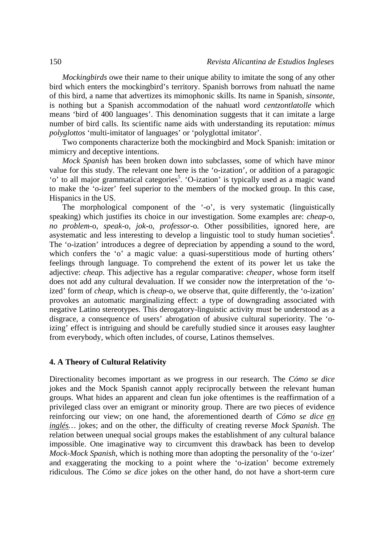*Mockingbirds* owe their name to their unique ability to imitate the song of any other bird which enters the mockingbird's territory. Spanish borrows from nahuatl the name of this bird, a name that advertizes its mimophonic skills. Its name in Spanish, *sinsonte*, is nothing but a Spanish accommodation of the nahuatl word *centzontlatolle* which means 'bird of 400 languages'. This denomination suggests that it can imitate a large number of bird calls. Its scientific name aids with understanding its reputation: *mimus polyglottos* 'multi-imitator of languages' or 'polyglottal imitator'.

Two components characterize both the mockingbird and Mock Spanish: imitation or mimicry and deceptive intentions.

*Mock Spanish* has been broken down into subclasses, some of which have minor value for this study. The relevant one here is the 'o-ization', or addition of a paragogic 'o' to all major grammatical categories<sup>5</sup>. 'O-ization' is typically used as a magic wand to make the 'o-izer' feel superior to the members of the mocked group. In this case, Hispanics in the US.

The morphological component of the '-o', is very systematic (linguistically speaking) which justifies its choice in our investigation. Some examples are: *cheap*-o, *no problem*-o, *speak*-o, *jok*-o, *professor*-o. Other possibilities, ignored here, are asystematic and less interesting to develop a linguistic tool to study human societies<sup>4</sup>. The 'o-ization' introduces a degree of depreciation by appending a sound to the word, which confers the 'o' a magic value: a quasi-superstitious mode of hurting others' feelings through language. To comprehend the extent of its power let us take the adjective: *cheap*. This adjective has a regular comparative: *cheaper*, whose form itself does not add any cultural devaluation. If we consider now the interpretation of the 'oized' form of *cheap*, which is *cheap*-o, we observe that, quite differently, the 'o-ization' provokes an automatic marginalizing effect: a type of downgrading associated with negative Latino stereotypes. This derogatory-linguistic activity must be understood as a disgrace, a consequence of users' abrogation of abusive cultural superiority. The 'oizing' effect is intriguing and should be carefully studied since it arouses easy laughter from everybody, which often includes, of course, Latinos themselves.

# **4. A Theory of Cultural Relativity**

Directionality becomes important as we progress in our research. The *Cómo se dice* jokes and the Mock Spanish cannot apply reciprocally between the relevant human groups. What hides an apparent and clean fun joke oftentimes is the reaffirmation of a privileged class over an emigrant or minority group. There are two pieces of evidence reinforcing our view; on one hand, the aforementioned dearth of *Cómo se dice en inglés…* jokes; and on the other, the difficulty of creating reverse *Mock Spanish*. The relation between unequal social groups makes the establishment of any cultural balance impossible. One imaginative way to circumvent this drawback has been to develop *Mock-Mock Spanish*, which is nothing more than adopting the personality of the 'o-izer' and exaggerating the mocking to a point where the 'o-ization' become extremely ridiculous. The *Cómo se dice* jokes on the other hand, do not have a short-term cure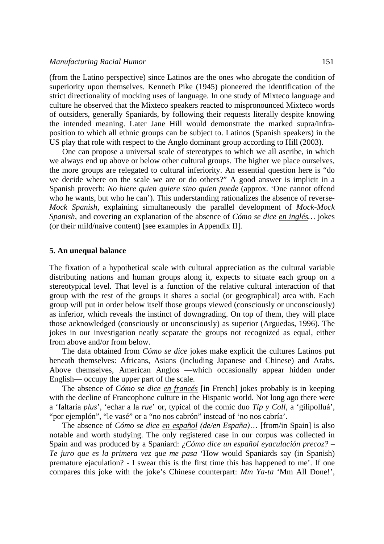## *Manufacturing Racial Humor* 151

(from the Latino perspective) since Latinos are the ones who abrogate the condition of superiority upon themselves. Kenneth Pike (1945) pioneered the identification of the strict directionality of mocking uses of language. In one study of Mixteco language and culture he observed that the Mixteco speakers reacted to mispronounced Mixteco words of outsiders, generally Spaniards, by following their requests literally despite knowing the intended meaning. Later Jane Hill would demonstrate the marked supra/infraposition to which all ethnic groups can be subject to. Latinos (Spanish speakers) in the US play that role with respect to the Anglo dominant group according to Hill (2003).

One can propose a universal scale of stereotypes to which we all ascribe, in which we always end up above or below other cultural groups. The higher we place ourselves, the more groups are relegated to cultural inferiority. An essential question here is "do we decide where on the scale we are or do others?" A good answer is implicit in a Spanish proverb: *No hiere quien quiere sino quien puede* (approx. 'One cannot offend who he wants, but who he can'). This understanding rationalizes the absence of reverse-*Mock Spanish*, explaining simultaneously the parallel development of *Mock-Mock Spanish*, and covering an explanation of the absence of *Cómo se dice en inglés…* jokes (or their mild/naive content) [see examples in Appendix II].

# **5. An unequal balance**

The fixation of a hypothetical scale with cultural appreciation as the cultural variable distributing nations and human groups along it, expects to situate each group on a stereotypical level. That level is a function of the relative cultural interaction of that group with the rest of the groups it shares a social (or geographical) area with. Each group will put in order below itself those groups viewed (consciously or unconsciously) as inferior, which reveals the instinct of downgrading. On top of them, they will place those acknowledged (consciously or unconsciously) as superior (Arguedas, 1996). The jokes in our investigation neatly separate the groups not recognized as equal, either from above and/or from below.

The data obtained from *Cómo se dice* jokes make explicit the cultures Latinos put beneath themselves: Africans, Asians (including Japanese and Chinese) and Arabs. Above themselves, American Anglos —which occasionally appear hidden under English— occupy the upper part of the scale.

The absence of *Cómo se dice en francés* [in French] jokes probably is in keeping with the decline of Francophone culture in the Hispanic world. Not long ago there were a 'faltaría *plus*', 'echar a la *rue*' or, typical of the comic duo *Tip y Coll*, a 'gilipolluá', "por ejemplón", "le vasé" or a "no nos cabrón" instead of 'no nos cabría'.

The absence of *Cómo se dice en español (de/en España)*… [from/in Spain] is also notable and worth studying. The only registered case in our corpus was collected in Spain and was produced by a Spaniard: *¿Cómo dice un español eyaculación precoz? – Te juro que es la primera vez que me pasa* 'How would Spaniards say (in Spanish) premature ejaculation? - I swear this is the first time this has happened to me'. If one compares this joke with the joke's Chinese counterpart: *Mm Ya-ta* 'Mm All Done!',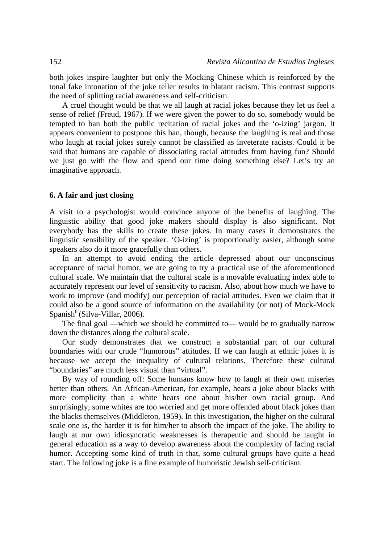both jokes inspire laughter but only the Mocking Chinese which is reinforced by the tonal fake intonation of the joke teller results in blatant racism. This contrast supports the need of splitting racial awareness and self-criticism.

A cruel thought would be that we all laugh at racial jokes because they let us feel a sense of relief (Freud, 1967). If we were given the power to do so, somebody would be tempted to ban both the public recitation of racial jokes and the 'o-izing' jargon. It appears convenient to postpone this ban, though, because the laughing is real and those who laugh at racial jokes surely cannot be classified as inveterate racists. Could it be said that humans are capable of dissociating racial attitudes from having fun? Should we just go with the flow and spend our time doing something else? Let's try an imaginative approach.

# **6. A fair and just closing**

A visit to a psychologist would convince anyone of the benefits of laughing. The linguistic ability that good joke makers should display is also significant. Not everybody has the skills to create these jokes. In many cases it demonstrates the linguistic sensibility of the speaker. 'O-izing' is proportionally easier, although some speakers also do it more gracefully than others.

In an attempt to avoid ending the article depressed about our unconscious acceptance of racial humor, we are going to try a practical use of the aforementioned cultural scale. We maintain that the cultural scale is a movable evaluating index able to accurately represent our level of sensitivity to racism. Also, about how much we have to work to improve (and modify) our perception of racial attitudes. Even we claim that it could also be a good source of information on the availability (or not) of Mock-Mock Spanish $^6$  (Silva-Villar, 2006).

The final goal —which we should be committed to— would be to gradually narrow down the distances along the cultural scale.

Our study demonstrates that we construct a substantial part of our cultural boundaries with our crude "humorous" attitudes. If we can laugh at ethnic jokes it is because we accept the inequality of cultural relations. Therefore these cultural "boundaries" are much less visual than "virtual".

By way of rounding off: Some humans know how to laugh at their own miseries better than others. An African-American, for example, hears a joke about blacks with more complicity than a white hears one about his/her own racial group. And surprisingly, some whites are too worried and get more offended about black jokes than the blacks themselves (Middleton, 1959). In this investigation, the higher on the cultural scale one is, the harder it is for him/her to absorb the impact of the joke. The ability to laugh at our own idiosyncratic weaknesses is therapeutic and should be taught in general education as a way to develop awareness about the complexity of facing racial humor. Accepting some kind of truth in that, some cultural groups have quite a head start. The following joke is a fine example of humoristic Jewish self-criticism: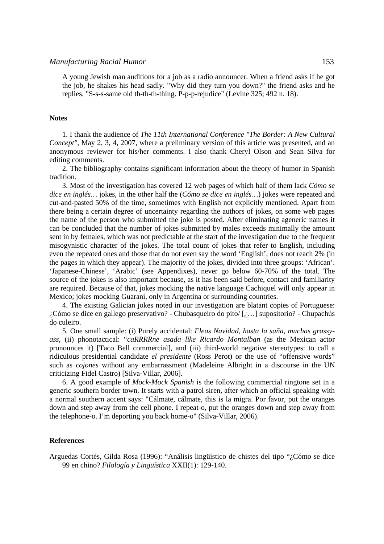# *Manufacturing Racial Humor* 153

A young Jewish man auditions for a job as a radio announcer. When a friend asks if he got the job, he shakes his head sadly. "Why did they turn you down?" the friend asks and he replies, "S-s-s-same old th-th-th-thing. P-p-p-rejudice" (Levine 325; 492 n. 18).

# **Notes**

1. I thank the audience of *The 11th International Conference "The Border: A New Cultural Concept",* May 2, 3, 4, 2007, where a preliminary version of this article was presented, and an anonymous reviewer for his/her comments. I also thank Cheryl Olson and Sean Silva for editing comments.

2. The bibliography contains significant information about the theory of humor in Spanish tradition.

3. Most of the investigation has covered 12 web pages of which half of them lack *Cómo se dice en inglés…* jokes, in the other half the (*Cómo se dice en inglés…*) jokes were repeated and cut-and-pasted 50% of the time, sometimes with English not explicitly mentioned. Apart from there being a certain degree of uncertainty regarding the authors of jokes, on some web pages the name of the person who submitted the joke is posted. After eliminating ageneric names it can be concluded that the number of jokes submitted by males exceeds minimally the amount sent in by females, which was not predictable at the start of the investigation due to the frequent misogynistic character of the jokes. The total count of jokes that refer to English, including even the repeated ones and those that do not even say the word 'English', does not reach 2% (in the pages in which they appear). The majority of the jokes, divided into three groups: 'African'. 'Japanese-Chinese', 'Arabic' (see Appendixes), never go below 60-70% of the total. The source of the jokes is also important because, as it has been said before, contact and familiarity are required. Because of that, jokes mocking the native language Cachiquel will only appear in Mexico; jokes mocking Guaraní, only in Argentina or surrounding countries.

4. The existing Galician jokes noted in our investigation are blatant copies of Portuguese: ¿Cómo se dice en gallego preservativo? - Chubasqueiro do pito/ [¿…] supositorio? - Chupachús do culeiro.

5. One small sample: (i) Purely accidental: *Fleas Navidad*, *hasta la saña*, *muchas grassyass*, (ii) phonotactical: "*caRRRRne asada like Ricardo Montalban* (as the Mexican actor pronounces it) [Taco Bell commercial], and (iii) third-world negative stereotypes: to call a ridiculous presidential candidate *el presidente* (Ross Perot) or the use of "offensive words" such as *cojones* without any embarrassment (Madeleine Albright in a discourse in the UN criticizing Fidel Castro) [Silva-Villar, 2006].

6. A good example of *Mock-Mock Spanish* is the following commercial ringtone set in a generic southern border town. It starts with a patrol siren, after which an official speaking with a normal southern accent says: "Cálmate, cálmate, this is la migra. Por favor, put the oranges down and step away from the cell phone. I repeat-o, put the oranges down and step away from the telephone-o. I'm deporting you back home-o" (Silva-Villar, 2006).

#### **References**

Arguedas Cortés, Gilda Rosa (1996): "Análisis lingüístico de chistes del tipo "¿Cómo se dice 99 en chino? *Filología y Lingüística* XXII(1): 129-140.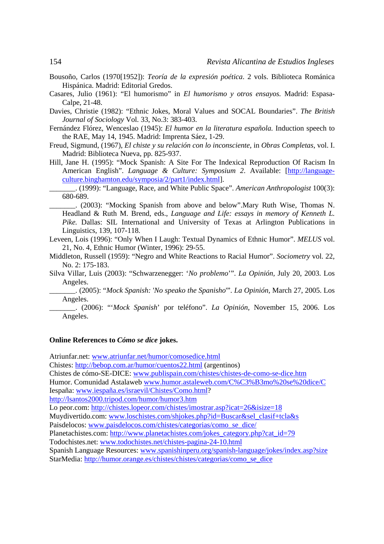- Bousoño, Carlos (1970[1952]): *Teoría de la expresión poética*. 2 vols. Biblioteca Románica Hispánica. Madrid: Editorial Gredos.
- Casares, Julio (1961): "El humorismo" in *El humorismo y otros ensayos.* Madrid: Espasa-Calpe, 21-48.
- Davies, Christie (1982): "Ethnic Jokes, Moral Values and SOCAL Boundaries". *The British Journal of Sociology* Vol. 33, No.3: 383-403.
- Fernández Flórez, Wenceslao (1945): *El humor en la literatura española.* Induction speech to the RAE, May 14, 1945. Madrid: Imprenta Sáez, 1-29.
- Freud, Sigmund, (1967), *El chiste y su relación con lo inconsciente*, in *Obras Completas*, vol. I. Madrid: Biblioteca Nueva, pp. 825-937.
- Hill, Jane H. (1995): "Mock Spanish: A Site For The Indexical Reproduction Of Racism In American English". *Language & Culture: Symposium 2*. Available: [http://languageculture.binghamton.edu/symposia/2/part1/index.html].

\_\_\_\_\_\_\_. (1999): "Language, Race, and White Public Space". *American Anthropologist* 100(3): 680-689.

- \_\_\_\_\_\_\_. (2003): "Mocking Spanish from above and below".Mary Ruth Wise, Thomas N. Headland & Ruth M. Brend, eds., *Language and Life: essays in memory of Kenneth L. Pike.* Dallas: SIL International and University of Texas at Arlington Publications in Linguistics, 139, 107-118.
- Leveen, Lois (1996): "Only When I Laugh: Textual Dynamics of Ethnic Humor". *MELUS* vol. 21, No. 4, Ethnic Humor (Winter, 1996): 29-55.
- Middleton, Russell (1959): "Negro and White Reactions to Racial Humor". *Sociometry* vol. 22, No. 2: 175-183.
- Silva Villar, Luis (2003): "Schwarzenegger: '*No problemo*'". *La Opinión,* July 20, 2003. Los Angeles.

\_\_\_\_\_\_\_. (2005): "*Mock Spanish:* '*No speako the Spanisho*'". *La Opinión,* March 27, 2005. Los Angeles.

\_\_\_\_\_\_\_. (2006): "'*Mock Spanish*' por teléfono". *La Opinión,* November 15, 2006. Los Angeles.

# **Online References to** *Cómo se dice* **jokes.**

Atriunfar.net: www.atriunfar.net/humor/comosedice.html

Chistes: http://bebop.com.ar/humor/cuentos22.html (argentinos)

Chistes de cómo-SE-DICE: www.publispain.com/chistes/chistes-de-como-se-dice.htm

Humor. Comunidad Astalaweb www.humor.astaleweb.com/C%C3%B3mo%20se%20dice/C

Iespaña: www.iespaña.es/israevil/Chistes/Como.html?

```
http://lsantos2000.tripod.com/humor/humor3.htm
```
Lo peor.com: http://chistes.lopeor.com/chistes/imostrar.asp?icat=26&isize=18

Muydivertido.com: www.loschistes.com/shjokes.php?id=Buscar&sel\_clasif+tcla&s

Paisdelocos: www.paisdelocos.com/chistes/categorias/como\_se\_dice/

Planetachistes.com: http://www.planetachistes.com/jokes\_category.php?cat\_id=79

Todochistes.net: www.todochistes.net/chistes-pagina-24-10.html

Spanish Language Resources: www.spanishinperu.org/spanish-language/jokes/index.asp?size StarMedia: http://humor.orange.es/chistes/chistes/categorias/como\_se\_dice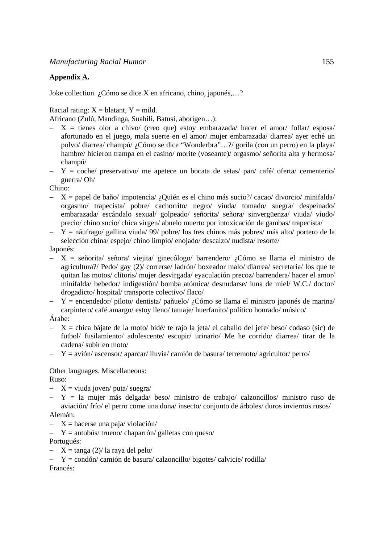# **Appendix A.**

Joke collection. ¿Cómo se dice X en africano, chino, japonés,…?

Racial rating:  $X =$  blatant,  $Y =$  mild.

Africano (Zulú, Mandinga, Suahili, Batusi, aborigen…):

- − X = tienes olor a chivo/ (creo que) estoy embarazada/ hacer el amor/ follar/ esposa/ afortunado en el juego, mala suerte en el amor/ mujer embarazada/ diarrea/ ayer eché un polvo/ diarrea/ champú/ ¿Cómo se dice "Wonderbra"…?/ gorila (con un perro) en la playa/ hambre/ hicieron trampa en el casino/ morite (voseante)/ orgasmo/ señorita alta y hermosa/ champú/
- − Y = coche/ preservativo/ me apetece un bocata de setas/ pan/ café/ oferta/ cementerio/ guerra/ Oh/

Chino:

- − X = papel de baño/ impotencia/ ¿Quién es el chino más sucio?/ cacao/ divorcio/ minifalda/ orgasmo/ trapecista/ pobre/ cachorrito/ negro/ viuda/ tomado/ suegra/ despeinado/ embarazada/ escándalo sexual/ golpeado/ señorita/ señora/ sinvergüenza/ viuda/ viudo/ precio/ chino sucio/ chica virgen/ abuelo muerto por intoxicación de gambas/ trapecista/
- − Y = náufrago/ gallina viuda/ 99/ pobre/ los tres chinos más pobres/ más alto/ portero de la selección china/ espejo/ chino limpio/ enojado/ descalzo/ nudista/ resorte/
- Japonés:
- − X = señorita/ señora/ viejita/ ginecólogo/ barrendero/ ¿Cómo se llama el ministro de agricultura?/ Pedo/ gay (2)/ correrse/ ladrón/ boxeador malo/ diarrea/ secretaria/ los que te quitan las motos/ clítoris/ mujer desvirgada/ eyaculación precoz/ barrendera/ hacer el amor/ minifalda/ bebedor/ indigestión/ bomba atómica/ desnudarse/ luna de miel/ W.C./ doctor/ drogadicto/ hospital/ transporte colectivo/ flaco/
- − Y = encendedor/ piloto/ dentista/ pañuelo/ ¿Cómo se llama el ministro japonés de marina/ carpintero/ café amargo/ estoy lleno/ tatuaje/ huerfanito/ político honrado/ músico/

Árabe:

- − X = chica bájate de la moto/ bidé/ te rajo la jeta/ el caballo del jefe/ beso/ codaso (sic) de futbol/ fusilamiento/ adolescente/ escupir/ urinario/ Me he corrido/ diarrea/ tirar de la cadena/ subir en moto/
- − Y = avión/ ascensor/ aparcar/ lluvia/ camión de basura/ terremoto/ agricultor/ perro/

Other languages. Miscellaneous:

Ruso:

- − X = viuda joven/ puta/ suegra/
- − Y = la mujer más delgada/ beso/ ministro de trabajo/ calzoncillos/ ministro ruso de aviación/ frío/ el perro come una dona/ insecto/ conjunto de árboles/ duros inviernos rusos/

Alemán:

- − X = hacerse una paja/ violación/
- − Y = autobús/ trueno/ chaparrón/ galletas con queso/

Portugués:

− X = tanga (2)/ la raya del pelo/

− Y = condón/ camión de basura/ calzoncillo/ bigotes/ calvicie/ rodilla/ Francés: